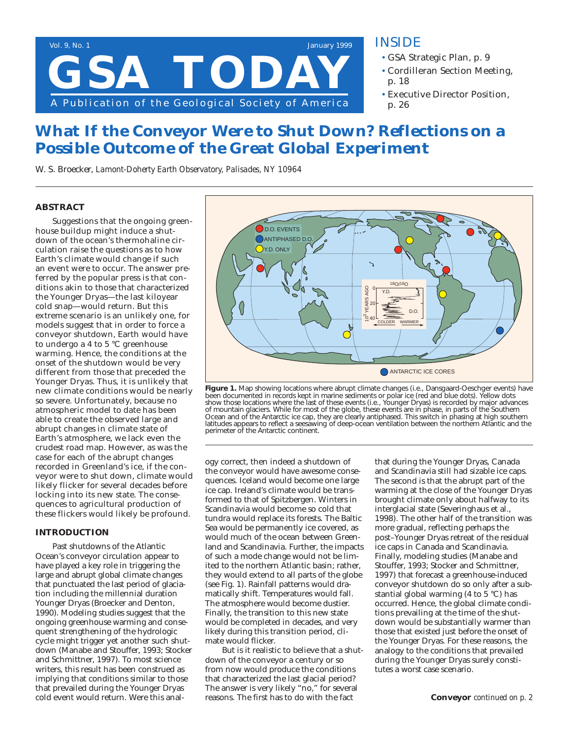

### **INSIDE**

- **• GSA Strategic Plan, p. 9**
- **• Cordilleran Section Meeting, p. 18**
- **• Executive Director Position, p. 26**

# **What If the Conveyor Were to Shut Down? Reflections on a Possible Outcome of the Great Global Experiment**

*W. S. Broecker, Lamont-Doherty Earth Observatory, Palisades, NY 10964*

### **ABSTRACT**

**Suggestions that the ongoing greenhouse buildup might induce a shutdown of the ocean's thermohaline circulation raise the questions as to how Earth's climate would change if such an event were to occur. The answer preferred by the popular press is that conditions akin to those that characterized the Younger Dryas—the last kiloyear cold snap—would return. But this extreme scenario is an unlikely one, for models suggest that in order to force a conveyor shutdown, Earth would have to undergo a 4 to 5 °C greenhouse warming. Hence, the conditions at the onset of the shutdown would be very different from those that preceded the Younger Dryas. Thus, it is unlikely that new climate conditions would be nearly so severe. Unfortunately, because no atmospheric model to date has been able to create the observed large and abrupt changes in climate state of Earth's atmosphere, we lack even the crudest road map. However, as was the case for each of the abrupt changes recorded in Greenland's ice, if the conveyor were to shut down, climate would likely flicker for several decades before locking into its new state. The consequences to agricultural production of these flickers would likely be profound.**

### **INTRODUCTION**

Past shutdowns of the Atlantic Ocean's conveyor circulation appear to have played a key role in triggering the large and abrupt global climate changes that punctuated the last period of glaciation including the millennial duration Younger Dryas (Broecker and Denton, 1990). Modeling studies suggest that the ongoing greenhouse warming and consequent strengthening of the hydrologic cycle might trigger yet another such shutdown (Manabe and Stouffer, 1993; Stocker and Schmittner, 1997). To most science writers, this result has been construed as implying that conditions similar to those that prevailed during the Younger Dryas cold event would return. Were this anal-



**Figure 1.** Map showing locations where abrupt climate changes (i.e., Dansgaard-Oeschger events) have been documented in records kept in marine sediments or polar ice (red and blue dots). Yellow dots show those locations where the last of these events (i.e., Younger Dryas) is recorded by major advances of mountain glaciers. While for most of the globe, these events are in phase, in parts of the Southern Ocean and of the Antarctic ice cap, they are clearly antiphased. This switch in phasing at high southern latitudes appears to reflect a seesawing of deep-ocean ventilation between the northern Atlantic and the perimeter of the Antarctic continent.

ogy correct, then indeed a shutdown of the conveyor would have awesome consequences. Iceland would become one large ice cap. Ireland's climate would be transformed to that of Spitzbergen. Winters in Scandinavia would become so cold that tundra would replace its forests. The Baltic Sea would be permanently ice covered, as would much of the ocean between Greenland and Scandinavia. Further, the impacts of such a mode change would not be limited to the northern Atlantic basin; rather, they would extend to all parts of the globe (see Fig. 1). Rainfall patterns would dramatically shift. Temperatures would fall. The atmosphere would become dustier. Finally, the transition to this new state would be completed in decades, and very likely during this transition period, climate would flicker.

But is it realistic to believe that a shutdown of the conveyor a century or so from now would produce the conditions that characterized the last glacial period? The answer is very likely "no," for several reasons. The first has to do with the fact

that during the Younger Dryas, Canada and Scandinavia still had sizable ice caps. The second is that the abrupt part of the warming at the close of the Younger Dryas brought climate only about halfway to its interglacial state (Severinghaus et al., 1998). The other half of the transition was more gradual, reflecting perhaps the post–Younger Dryas retreat of the residual ice caps in Canada and Scandinavia. Finally, modeling studies (Manabe and Stouffer, 1993; Stocker and Schmittner, 1997) that forecast a greenhouse-induced conveyor shutdown do so only after a substantial global warming (4 to 5 °C) has occurred. Hence, the global climate conditions prevailing at the time of the shutdown would be substantially warmer than those that existed just before the onset of the Younger Dryas. For these reasons, the analogy to the conditions that prevailed during the Younger Dryas surely constitutes a worst case scenario.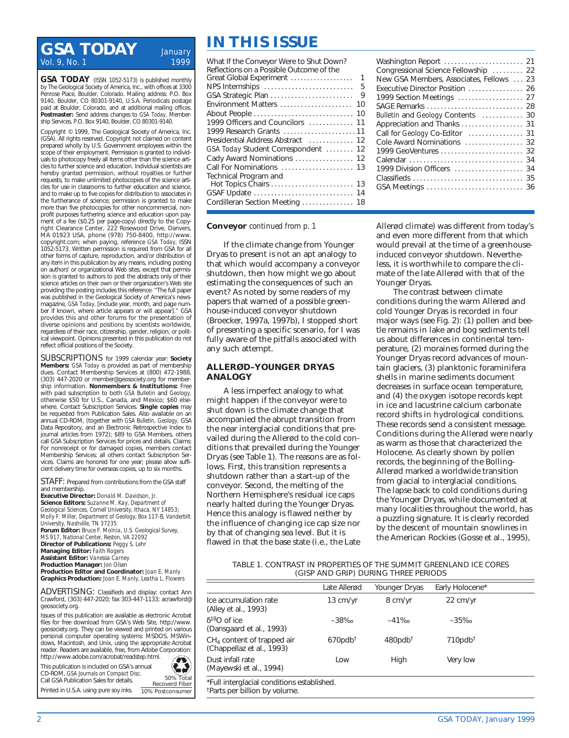## **IN THIS ISSUE**<br>Vol. 9, No. 1 *January* **ISSUE**<br>**What If the Conveyor Were to Shu** *Vol. 9, No. 1*

**GSA TODAY** (ISSN 1052-5173) is published monthly by The Geological Society of America, Inc., with offices at 3300 Penrose Place, Boulder, Colorado. Mailing address: P.O. Box 9140, Boulder, CO 80301-9140, U.S.A. Periodicals postage paid at Boulder, Colorado, and at additional mailing offices. **Postmaster:** Send address changes to *GSA Today,* Membership Services, P.O. Box 9140, Boulder, C.O. 80301-9140.

Copyright © 1999, The Geological Society of America, Inc. (GSA). All rights reserved. Copyright not claimed on content prepared wholly by U.S. Government employees within the scope of their employment. Permission is granted to individuals to photocopy freely all items other than the science articles to further science and education. Individual scientists are hereby granted permission, without royalties or further requests, to make unlimited photocopies of the science articles for use in classrooms to further education and science, and to make up to five copies for distribution to associates in the furtherance of science; permission is granted to make more than five photocopies for other noncommercial, nonprofit purposes furthering science and education upon payment of a fee (\$0.25 per page-copy) directly to the Copyright Clearance Center, 222 Rosewood Drive, Danvers, MA 01923 USA, phone (978) 750-8400, http://www. copyright.com; when paying, reference *GSA Today,* ISSN 1052-5173. Written permission is required from GSA for all other forms of capture, reproduction, and/or distribution of any item in this publication by any means, including posting on authors' or organizational Web sites, except that permission is granted to authors to post the abstracts only of their science articles on their own or their organization's Web site providing the posting includes this reference: "The full paper was published in the Geological Society of America's newsmagazine, *GSA Today,* [include year, month, and page number if known, where article appears or will appear]." GSA provides this and other forums for the presentation of diverse opinions and positions by scientists worldwide, regardless of their race, citizenship, gender, religion, or political viewpoint. Opinions presented in this publication do not reflect official positions of the Society.

**SUBSCRIPTIONS** for 1999 calendar year: **Society Members:** *GSA Today* is provided as part of membership dues. Contact Membership Services at (800) 472-1988, (303) 447-2020 or member@geosociety.org for membership information. **Nonmembers & Institutions:** Free with paid subscription to both *GSA Bulletin* and *Geology,* otherwise \$50 for U.S., Canada, and Mexico; \$60 elsewhere. Contact Subscription Services. **Single copies** may be requested from Publication Sales. Also available on an annual CD-ROM, (together with *GSA Bulletin, Geology,* GSA Data Repository, and an Electronic Retrospective Index to journal articles from 1972); \$89 to GSA Members, others call GSA Subscription Services for prices and details. Claims: For nonreceipt or for damaged copies, members contact Membership Services; all others contact Subscription Services. Claims are honored for one year; please allow sufficient delivery time for overseas copies, up to six months.

**STAFF:** Prepared from contributions from the GSA staff and membership.

**Executive Director:** *Donald M. Davidson, Jr.* **Science Editors:** *Suzanne M. Kay, Department of Geological Sciences, Cornell University, Ithaca, NY 14853; Molly F. Miller, Department of Geology, Box 117-B, Vanderbilt University, Nashville, TN 37235* **Forum Editor:** *Bruce F. Molnia, U.S. Geological Survey, MS 917, National Center, Reston, VA 22092* **Director of Publications:** *Peggy S. Lehr* **Managing Editor:** *Faith Rogers* **Assistant Editor:** *Vanessa Carney* **Production Manager:** *Jon Olsen* **Production Editor and Coordinator:** *Joan E. Manly* **Graphics Production:** *Joan E. Manly, Leatha L. Flowers*

**ADVERTISING:** Classifieds and display: contact Ann Crawford, (303) 447-2020; fax 303-447-1133; acrawford@ geosociety.org.

Issues of this publication are available as electronic Acrobat files for free download from GSA's Web Site, http://www. geosociety.org. They can be viewed and printed on various personal computer operating systems: MSDOS, MSWindows, Macintosh, and Unix, using the appropriate Acrobat reader. Readers are available, free, from Adobe Corporation: http://www.adobe.com/acrobat/readstep.html.

This publication is included on GSA's annual CD-ROM, *GSA Journals on Compact Disc.*  Call GSA Publication Sales for details.

Printed in U.S.A. using pure soy inks.



| What If the Conveyor Were to Shut Down?<br>Reflections on a Possible Outcome of the |              |
|-------------------------------------------------------------------------------------|--------------|
| Great Global Experiment                                                             | $\mathbf{1}$ |
|                                                                                     |              |
| GSA Strategic Plan                                                                  | $\mathsf{Q}$ |
| Environment Matters  10                                                             |              |
|                                                                                     |              |
| 1999 Officers and Councilors  11                                                    |              |
| 1999 Research Grants 11                                                             |              |
| Presidential Address Abstract  12                                                   |              |
| GSA Today Student Correspondent  12                                                 |              |
| Cady Award Nominations  12                                                          |              |
| Call For Nominations  13                                                            |              |
| Technical Program and                                                               |              |
|                                                                                     |              |
| GSAF Update  14                                                                     |              |
| Cordilleran Section Meeting  18                                                     |              |

#### **Conveyor** *continued from p. 1*

If the climate change from Younger Dryas to present is not an apt analogy to that which would accompany a conveyor shutdown, then how might we go about estimating the consequences of such an event? As noted by some readers of my papers that warned of a possible greenhouse-induced conveyor shutdown (Broecker, 1997a, 1997b), I stopped short of presenting a specific scenario, for I was fully aware of the pitfalls associated with any such attempt.

#### **ALLERØD–YOUNGER DRYAS ANALOGY**

A less imperfect analogy to what might happen if the conveyor were to shut down is the climate change that accompanied the abrupt transition from the near interglacial conditions that prevailed during the Allerød to the cold conditions that prevailed during the Younger Dryas (see Table 1). The reasons are as follows. First, this transition represents a shutdown rather than a start-up of the conveyor. Second, the melting of the Northern Hemisphere's residual ice caps nearly halted during the Younger Dryas. Hence this analogy is flawed neither by the influence of changing ice cap size nor by that of changing sea level. But it is flawed in that the base state (i.e., the Late

| Washington Report  21                    |    |
|------------------------------------------|----|
| Congressional Science Fellowship  22     |    |
| New GSA Members, Associates, Fellows  23 |    |
|                                          |    |
| Executive Director Position  26          |    |
| 1999 Section Meetings  27                |    |
|                                          |    |
| Bulletin and Geology Contents  30        |    |
| Appreciation and Thanks  31              |    |
| Call for Geology Co-Editor  31           |    |
| Cole Award Nominations  32               |    |
| 1999 GeoVentures  32                     |    |
|                                          |    |
| 1999 Division Officers  34               |    |
| Classifieds                              | 35 |
| GSA Meetings                             | 36 |
|                                          |    |

Allerød climate) was different from today's and even more different from that which would prevail at the time of a greenhouseinduced conveyor shutdown. Nevertheless, it is worthwhile to compare the climate of the late Allerød with that of the Younger Dryas.

The contrast between climate conditions during the warm Allerød and cold Younger Dryas is recorded in four major ways (see Fig. 2): (1) pollen and beetle remains in lake and bog sediments tell us about differences in continental temperature, (2) moraines formed during the Younger Dryas record advances of mountain glaciers, (3) planktonic foraminifera shells in marine sediments document decreases in surface ocean temperature, and (4) the oxygen isotope records kept in ice and lacustrine calcium carbonate record shifts in hydrological conditions. These records send a consistent message. Conditions during the Allerød were nearly as warm as those that characterized the Holocene. As clearly shown by pollen records, the beginning of the Bolling-Allerød marked a worldwide transition from glacial to interglacial conditions. The lapse back to cold conditions during the Younger Dryas, while documented at many localities throughout the world, has a puzzling signature. It is clearly recorded by the descent of mountain snowlines in the American Rockies (Gosse et al., 1995),

#### **TABLE 1. CONTRAST IN PROPERTIES OF THE SUMMIT GREENLAND ICE CORES (GISP AND GRIP) DURING THREE PERIODS**

|                                                                                         | Late Allerød           | Younger Dryas          | Early Holocene*        |  |
|-----------------------------------------------------------------------------------------|------------------------|------------------------|------------------------|--|
| Ice accumulation rate<br>(Alley et al., 1993)                                           | $13 \text{ cm/yr}$     | 8 cm/yr                | $22 \text{ cm/yr}$     |  |
| $\delta^{18}$ O of ice<br>(Dansgaard et al., 1993)                                      | $-38%$                 | $-41\%$                | $-35\%$                |  |
| $CH4$ content of trapped air<br>(Chappellaz et al., 1993)                               | $670$ pdb <sup>†</sup> | $480$ pdb <sup>†</sup> | $710$ pdb <sup>†</sup> |  |
| Dust infall rate<br>(Mayewski et al., 1994)                                             | Low                    | High                   | Very low               |  |
| *Full interglacial conditions established.<br><sup>†</sup> Parts per billion by volume. |                        |                        |                        |  |

**2 GSA TODAY, January 1999**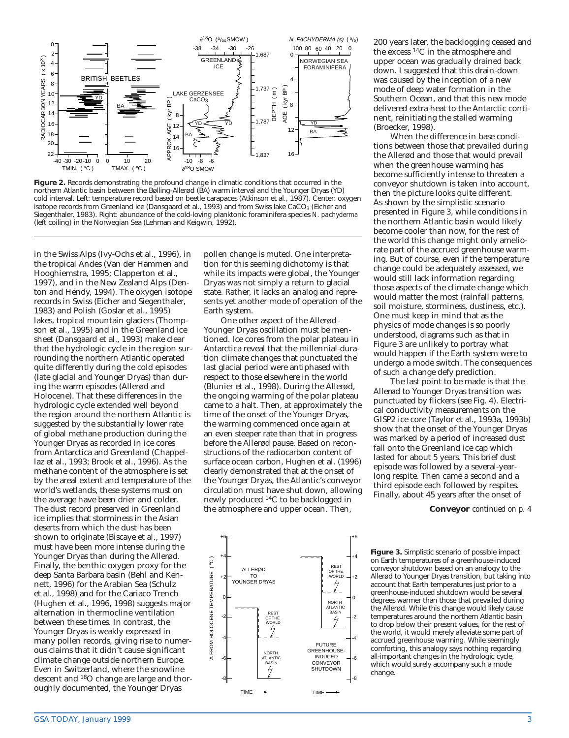

**Figure 2.** Records demonstrating the profound change in climatic conditions that occurred in the northern Atlantic basin between the Bølling-Allerød (BA) warm interval and the Younger Dryas (YD) cold interval. Left: temperature record based on beetle carapaces (Atkinson et al., 1987). Center: oxygen isotope records from Greenland ice (Dansgaard et al., 1993) and from Swiss lake CaCO<sub>3</sub> (Eicher and Siegenthaler, 1983). Right: abundance of the cold-loving planktonic foraminifera species *N. pachyderma* (left coiling) in the Norwegian Sea (Lehman and Keigwin, 1992).

in the Swiss Alps (Ivy-Ochs et al., 1996), in the tropical Andes (Van der Hammen and Hooghiemstra, 1995; Clapperton et al., 1997), and in the New Zealand Alps (Denton and Hendy, 1994). The oxygen isotope records in Swiss (Eicher and Siegenthaler, 1983) and Polish (Goslar et al., 1995) lakes, tropical mountain glaciers (Thompson et al., 1995) and in the Greenland ice sheet (Dansgaard et al., 1993) make clear that the hydrologic cycle in the region surrounding the northern Atlantic operated quite differently during the cold episodes (late glacial and Younger Dryas) than during the warm episodes (Allerød and Holocene). That these differences in the hydrologic cycle extended well beyond the region around the northern Atlantic is suggested by the substantially lower rate of global methane production during the Younger Dryas as recorded in ice cores from Antarctica and Greenland (Chappellaz et al., 1993; Brook et al., 1996). As the methane content of the atmosphere is set by the areal extent and temperature of the world's wetlands, these systems must on the average have been drier and colder. The dust record preserved in Greenland ice implies that storminess in the Asian deserts from which the dust has been shown to originate (Biscaye et al., 1997) must have been more intense during the Younger Dryas than during the Allerød. Finally, the benthic oxygen proxy for the deep Santa Barbara basin (Behl and Kennett, 1996) for the Arabian Sea (Schulz et al., 1998) and for the Cariaco Trench (Hughen et al., 1996, 1998) suggests major alternation in thermocline ventilation between these times. In contrast, the Younger Dryas is weakly expressed in many pollen records, giving rise to numerous claims that it didn't cause significant climate change outside northern Europe. Even in Switzerland, where the snowline descent and 18O change are large and thoroughly documented, the Younger Dryas

pollen change is muted. One interpretation for this seeming dichotomy is that while its impacts were global, the Younger Dryas was not simply a return to glacial state. Rather, it lacks an analog and represents yet another mode of operation of the Earth system.

One other aspect of the Allerød– Younger Dryas oscillation must be mentioned. Ice cores from the polar plateau in Antarctica reveal that the millennial-duration climate changes that punctuated the last glacial period were antiphased with respect to those elsewhere in the world (Blunier et al., 1998). During the Allerød, the ongoing warming of the polar plateau came to a halt. Then, at approximately the time of the onset of the Younger Dryas, the warming commenced once again at an even steeper rate than that in progress before the Allerød pause. Based on reconstructions of the radiocarbon content of surface ocean carbon, Hughen et al. (1996) clearly demonstrated that at the onset of the Younger Dryas, the Atlantic's conveyor circulation must have shut down, allowing newly produced 14C to be backlogged in the atmosphere and upper ocean. Then,



+6 +6 +4 +4  $\widetilde{S}$ ∆ FROM HOLOCENE TEMPERATURE ( °C ) REST ALLEROD **S FROM HOLOCENE TEMPERATURE** OF THE WORLD TO +2 +2 YOUNGER DRYAS 0 0 NORTH ATLANTIC BASIN REST OF THE WORLD -2 -2 -4 -4 FUTURE **GREENHOUSE** NORTH INDUCED **TLANTIC** -6 -6 CONVEYOR BASIN SHUTDOWN -8 -8 TIME **TIME** 

200 years later, the backlogging ceased and the excess 14C in the atmosphere and upper ocean was gradually drained back down. I suggested that this drain-down was caused by the inception of a new mode of deep water formation in the Southern Ocean, and that this new mode delivered extra heat to the Antarctic continent, reinitiating the stalled warming (Broecker, 1998).

When the difference in base conditions between those that prevailed during the Allerød and those that would prevail when the greenhouse warming has become sufficiently intense to threaten a conveyor shutdown is taken into account, then the picture looks quite different. As shown by the simplistic scenario presented in Figure 3, while conditions in the northern Atlantic basin would likely become cooler than now, for the rest of the world this change might only ameliorate part of the accrued greenhouse warming. But of course, even if the temperature change could be adequately assessed, we would still lack information regarding those aspects of the climate change which would matter the most (rainfall patterns, soil moisture, storminess, dustiness, etc.). One must keep in mind that as the physics of mode changes is so poorly understood, diagrams such as that in Figure 3 are unlikely to portray what would happen if the Earth system were to undergo a mode switch. The consequences of such a change defy prediction.

The last point to be made is that the Allerød to Younger Dryas transition was punctuated by flickers (see Fig. 4). Electrical conductivity measurements on the GISP2 ice core (Taylor et al., 1993a, 1993b) show that the onset of the Younger Dryas was marked by a period of increased dust fall onto the Greenland ice cap which lasted for about 5 years. This brief dust episode was followed by a several-yearlong respite. Then came a second and a third episode each followed by respites. Finally, about 45 years after the onset of

**Conveyor** *continued on p. 4*

**Figure 3.** Simplistic scenario of possible impact on Earth temperatures of a greenhouse-induced conveyor shutdown based on an analogy to the Allerød to Younger Dryas transition, but taking into account that Earth temperatures just prior to a greenhouse-induced shutdown would be several degrees warmer than those that prevailed during the Allerød. While this change would likely cause temperatures around the northern Atlantic basin to drop below their present values, for the rest of the world, it would merely alleviate some part of accrued greenhouse warming. While seemingly comforting, this analogy says nothing regarding all-important changes in the hydrologic cycle, which would surely accompany such a mode change.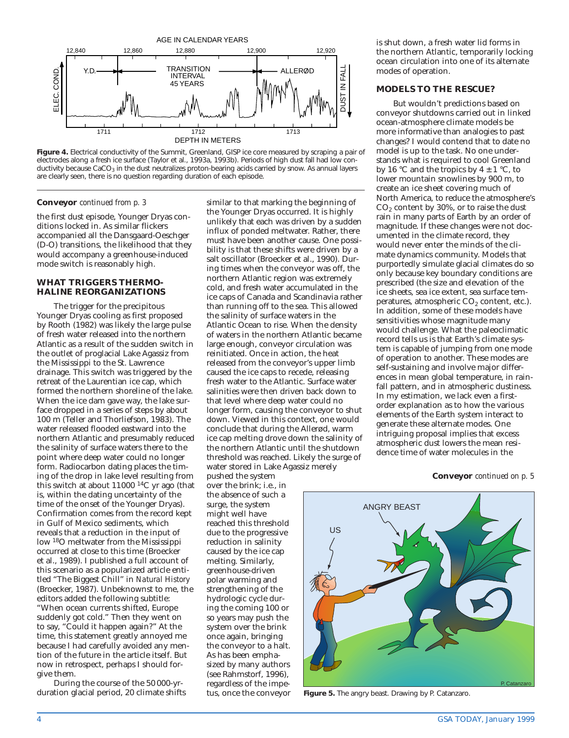

**Figure 4.** Electrical conductivity of the Summit, Greenland, GISP ice core measured by scraping a pair of electrodes along a fresh ice surface (Taylor et al., 1993a, 1993b). Periods of high dust fall had low conductivity because  $CaCO<sub>3</sub>$  in the dust neutralizes proton-bearing acids carried by snow. As annual layers are clearly seen, there is no question regarding duration of each episode.

#### **Conveyor** *continued from p. 3*

the first dust episode, Younger Dryas conditions locked in. As similar flickers accompanied all the Dansgaard-Oeschger (D-O) transitions, the likelihood that they would accompany a greenhouse-induced mode switch is reasonably high.

#### **WHAT TRIGGERS THERMO-HALINE REORGANIZATIONS**

The trigger for the precipitous Younger Dryas cooling as first proposed by Rooth (1982) was likely the large pulse of fresh water released into the northern Atlantic as a result of the sudden switch in the outlet of proglacial Lake Agassiz from the Mississippi to the St. Lawrence drainage. This switch was triggered by the retreat of the Laurentian ice cap, which formed the northern shoreline of the lake. When the ice dam gave way, the lake surface dropped in a series of steps by about 100 m (Teller and Thorliefson, 1983). The water released flooded eastward into the northern Atlantic and presumably reduced the salinity of surface waters there to the point where deep water could no longer form. Radiocarbon dating places the timing of the drop in lake level resulting from this switch at about 11000 14C yr ago (that is, within the dating uncertainty of the time of the onset of the Younger Dryas). Confirmation comes from the record kept in Gulf of Mexico sediments, which reveals that a reduction in the input of low 18O meltwater from the Mississippi occurred at close to this time (Broecker et al., 1989). I published a full account of this scenario as a popularized article entitled "The Biggest Chill" in *Natural History* (Broecker, 1987). Unbeknownst to me, the editors added the following subtitle:

"When ocean currents shifted, Europe suddenly got cold." Then they went on to say, "Could it happen again?" At the time, this statement greatly annoyed me because I had carefully avoided any mention of the future in the article itself. But now in retrospect, perhaps I should forgive them.

During the course of the 50 000-yrduration glacial period, 20 climate shifts

similar to that marking the beginning of the Younger Dryas occurred. It is highly unlikely that each was driven by a sudden influx of ponded meltwater. Rather, there must have been another cause. One possibility is that these shifts were driven by a salt oscillator (Broecker et al., 1990). During times when the conveyor was off, the northern Atlantic region was extremely cold, and fresh water accumulated in the ice caps of Canada and Scandinavia rather than running off to the sea. This allowed the salinity of surface waters in the Atlantic Ocean to rise. When the density of waters in the northern Atlantic became large enough, conveyor circulation was reinitiated. Once in action, the heat released from the conveyor's upper limb caused the ice caps to recede, releasing fresh water to the Atlantic. Surface water salinities were then driven back down to that level where deep water could no longer form, causing the conveyor to shut down. Viewed in this context, one would conclude that during the Allerød, warm ice cap melting drove down the salinity of the northern Atlantic until the shutdown threshold was reached. Likely the surge of water stored in Lake Agassiz merely

pushed the system over the brink; i.e., in the absence of such a surge, the system might well have reached this threshold due to the progressive reduction in salinity caused by the ice cap melting. Similarly, greenhouse-driven polar warming and strengthening of the hydrologic cycle during the coming 100 or so years may push the system over the brink once again, bringing the conveyor to a halt. As has been emphasized by many authors (see Rahmstorf, 1996), regardless of the impetus, once the conveyor is shut down, a fresh water lid forms in the northern Atlantic, temporarily locking ocean circulation into one of its alternate modes of operation.

#### **MODELS TO THE RESCUE?**

But wouldn't predictions based on conveyor shutdowns carried out in linked ocean-atmosphere climate models be more informative than analogies to past changes? I would contend that to date no model is up to the task. No one understands what is required to cool Greenland by 16 °C and the tropics by  $4 \pm 1$  °C, to lower mountain snowlines by 900 m, to create an ice sheet covering much of North America, to reduce the atmosphere's CO2 content by 30%, or to raise the dust rain in many parts of Earth by an order of magnitude. If these changes were not documented in the climate record, they would never enter the minds of the climate dynamics community. Models that purportedly simulate glacial climates do so only because key boundary conditions are prescribed (the size and elevation of the ice sheets, sea ice extent, sea surface temperatures, atmospheric  $CO<sub>2</sub>$  content, etc.). In addition, some of these models have sensitivities whose magnitude many would challenge. What the paleoclimatic record tells us is that Earth's climate system is capable of jumping from one mode of operation to another. These modes are self-sustaining and involve major differences in mean global temperature, in rainfall pattern, and in atmospheric dustiness. In my estimation, we lack even a firstorder explanation as to how the various elements of the Earth system interact to generate these alternate modes. One intriguing proposal implies that excess atmospheric dust lowers the mean residence time of water molecules in the

**Conveyor** *continued on p. 5*



**Figure 5.** The angry beast. Drawing by P. Catanzaro.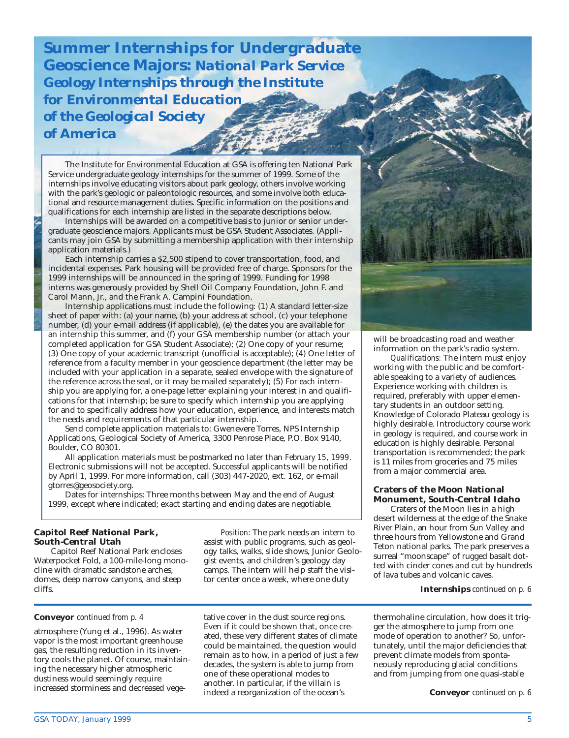**Summer Internships for Undergraduate Geoscience Majors:** *National Park Service Geology Internships through the Institute for Environmental Education of the Geological Society of America*

The Institute for Environmental Education at GSA is offering ten National Park Service undergraduate geology internships for the summer of 1999. Some of the internships involve educating visitors about park geology, others involve working with the park's geologic or paleontologic resources, and some involve both educational and resource management duties. Specific information on the positions and qualifications for each internship are listed in the separate descriptions below.

Internships will be awarded on a competitive basis to junior or senior undergraduate geoscience majors. Applicants must be GSA Student Associates. (Applicants may join GSA by submitting a membership application with their internship application materials.)

Each internship carries a \$2,500 stipend to cover transportation, food, and incidental expenses. Park housing will be provided free of charge. Sponsors for the 1999 internships will be announced in the spring of 1999. Funding for 1998 interns was generously provided by Shell Oil Company Foundation, John F. and Carol Mann, Jr., and the Frank A. Campini Foundation.

Internship applications must include the following: (1) A standard letter-size sheet of paper with: (a) your name, (b) your address at school, (c) your telephone number, (d) your e-mail address (if applicable), (e) the dates you are available for an internship this summer, and (f) your GSA membership number (or attach your completed application for GSA Student Associate); (2) One copy of your resume; (3) One copy of your academic transcript (unofficial is acceptable); (4) One letter of reference from a faculty member in your geoscience department (the letter may be included with your application in a separate, sealed envelope with the signature of the reference across the seal, or it may be mailed separately); (5) For *each* internship you are applying for, a one-page letter explaining your interest in and qualifications for that internship; be sure to specify which internship you are applying for and to specifically address how your education, experience, and interests match the needs and requirements of that particular internship.

Send complete application materials to: Gwenevere Torres, NPS Internship Applications, Geological Society of America, 3300 Penrose Place, P.O. Box 9140, Boulder, CO 80301.

All application materials must be postmarked no later than *February 15, 1999*. Electronic submissions will not be accepted. Successful applicants will be notified by April 1, 1999. For more information, call (303) 447-2020, ext. 162, or e-mail gtorres@geosociety.org.

Dates for internships: Three months between May and the end of August 1999, except where indicated; exact starting and ending dates are negotiable.

#### **Capitol Reef National Park, South-Central Utah**

Capitol Reef National Park encloses Waterpocket Fold, a 100-mile-long monocline with dramatic sandstone arches, domes, deep narrow canyons, and steep cliffs.

**Conveyor** *continued from p. 4*

atmosphere (Yung et al., 1996). As water vapor is the most important greenhouse gas, the resulting reduction in its inventory cools the planet. Of course, maintaining the necessary higher atmospheric dustiness would seemingly require increased storminess and decreased vege-

*Position:* The park needs an intern to assist with public programs, such as geology talks, walks, slide shows, Junior Geologist events, and children's geology day camps. The intern will help staff the visitor center once a week, where one duty

tative cover in the dust source regions. Even if it could be shown that, once created, these very different states of climate could be maintained, the question would remain as to how, in a period of just a few decades, the system is able to jump from one of these operational modes to another. In particular, if the villain is indeed a reorganization of the ocean's



will be broadcasting road and weather information on the park's radio system.

*Qualifications:* The intern must enjoy working with the public and be comfortable speaking to a variety of audiences. Experience working with children is required, preferably with upper elementary students in an outdoor setting. Knowledge of Colorado Plateau geology is highly desirable. Introductory course work in geology is required, and course work in education is highly desirable. Personal transportation is recommended; the park is 11 miles from groceries and 75 miles from a major commercial area.

**Craters of the Moon National Monument, South-Central Idaho**

Craters of the Moon lies in a high desert wilderness at the edge of the Snake River Plain, an hour from Sun Valley and three hours from Yellowstone and Grand Teton national parks. The park preserves a surreal "moonscape" of rugged basalt dotted with cinder cones and cut by hundreds of lava tubes and volcanic caves.

**Internships** *continued on p. 6*

thermohaline circulation, how does it trigger the atmosphere to jump from one mode of operation to another? So, unfortunately, until the major deficiencies that prevent climate models from spontaneously reproducing glacial conditions and from jumping from one quasi-stable

**Conveyor** *continued on p. 6*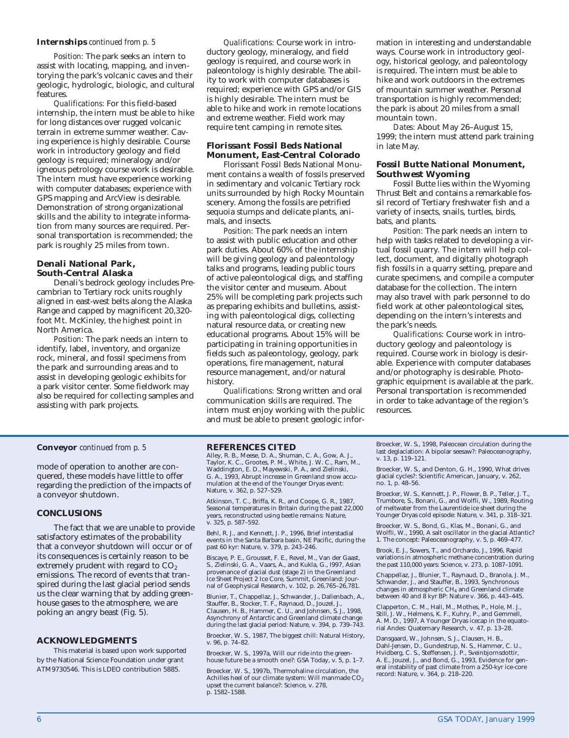#### **Internships** *continued from p. 5*

*Position:* The park seeks an intern to assist with locating, mapping, and inventorying the park's volcanic caves and their geologic, hydrologic, biologic, and cultural features.

*Qualifications:* For this field-based internship, the intern must be able to hike for long distances over rugged volcanic terrain in extreme summer weather. Caving experience is highly desirable. Course work in introductory geology and field geology is required; mineralogy and/or igneous petrology course work is desirable. The intern must have experience working with computer databases; experience with GPS mapping and ArcView is desirable. Demonstration of strong organizational skills and the ability to integrate information from many sources are required. Personal transportation is recommended; the park is roughly 25 miles from town.

#### **Denali National Park, South-Central Alaska**

Denali's bedrock geology includes Precambrian to Tertiary rock units roughly aligned in east-west belts along the Alaska Range and capped by magnificent 20,320 foot Mt. McKinley, the highest point in North America.

*Position:* The park needs an intern to identify, label, inventory, and organize rock, mineral, and fossil specimens from the park and surrounding areas and to assist in developing geologic exhibits for a park visitor center. Some fieldwork may also be required for collecting samples and assisting with park projects.

*Qualifications:* Course work in introductory geology, mineralogy, and field geology is required, and course work in paleontology is highly desirable. The ability to work with computer databases is required; experience with GPS and/or GIS is highly desirable. The intern must be able to hike and work in remote locations and extreme weather. Field work may require tent camping in remote sites.

**Florissant Fossil Beds National Monument, East-Central Colorado**

Florissant Fossil Beds National Monument contains a wealth of fossils preserved in sedimentary and volcanic Tertiary rock units surrounded by high Rocky Mountain scenery. Among the fossils are petrified sequoia stumps and delicate plants, animals, and insects.

*Position:* The park needs an intern to assist with public education and other park duties. About 60% of the internship will be giving geology and paleontology talks and programs, leading public tours of active paleontological digs, and staffing the visitor center and museum. About 25% will be completing park projects such as preparing exhibits and bulletins, assisting with paleontological digs, collecting natural resource data, or creating new educational programs. About 15% will be participating in training opportunities in fields such as paleontology, geology, park operations, fire management, natural resource management, and/or natural history.

*Qualifications:* Strong written and oral communication skills are required. The intern must enjoy working with the public and must be able to present geologic information in interesting and understandable ways. Course work in introductory geology, historical geology, and paleontology is required. The intern must be able to hike and work outdoors in the extremes of mountain summer weather. Personal transportation is highly recommended; the park is about 20 miles from a small mountain town.

*Dates:* About May 26–August 15, 1999; the intern must attend park training in late May.

**Fossil Butte National Monument, Southwest Wyoming**

Fossil Butte lies within the Wyoming Thrust Belt and contains a remarkable fossil record of Tertiary freshwater fish and a variety of insects, snails, turtles, birds, bats, and plants.

*Position:* The park needs an intern to help with tasks related to developing a virtual fossil quarry. The intern will help collect, document, and digitally photograph fish fossils in a quarry setting, prepare and curate specimens, and compile a computer database for the collection. The intern may also travel with park personnel to do field work at other paleontological sites, depending on the intern's interests and the park's needs.

*Qualifications:* Course work in introductory geology and paleontology is required. Course work in biology is desirable. Experience with computer databases and/or photography is desirable. Photographic equipment is available at the park. Personal transportation is recommended in order to take advantage of the region's resources.

#### **Conveyor** *continued from p. 5*

mode of operation to another are conquered, these models have little to offer regarding the prediction of the impacts of a conveyor shutdown.

#### **CONCLUSIONS**

The fact that we are unable to provide satisfactory estimates of the probability that a conveyor shutdown will occur or of its consequences is certainly reason to be extremely prudent with regard to CO<sub>2</sub> emissions. The record of events that transpired during the last glacial period sends us the clear warning that by adding greenhouse gases to the atmosphere, we are poking an angry beast (Fig. 5).

#### **ACKNOWLEDGMENTS**

This material is based upon work supported by the National Science Foundation under grant ATM9730546. This is LDEO contribution 5885.

**REFERENCES CITED**

Alley, R. B., Meese, D. A., Shuman, C. A., Gow, A. J., Taylor, K. C., Grootes, P. M., White, J. W. C., Ram, M., Waddington, E. D., Mayewski, P. A., and Zielinski, G. A., 1993, Abrupt increase in Greenland snow accumulation at the end of the Younger Dryas event: Nature, v. 362, p. 527–529.

Atkinson, T. C., Briffa, K. R., and Coope, G. R., 1987, Seasonal temperatures in Britain during the past 22,000 years, reconstructed using beetle remains: Nature, v. 325, p. 587–592.

Behl, R. J., and Kennett, J. P., 1996, Brief interstadial events in the Santa Barbara basin, NE Pacific, during the past 60 kyr: Nature, v. 379, p. 243–246.

Biscaye, P. E., Grousset, F. E., Revel, M., Van der Gaast, S., Zielinski, G. A., Vaars, A., and Kukla, G., l997, Asian provenance of glacial dust (stage 2) in the Greenland Ice Sheet Project 2 Ice Core, Summit, Greenland: Journal of Geophysical Research, v. 102, p. 26,765–26,781.

Blunier, T., Chappellaz, J., Schwander, J., Dallenbach, A., Stauffer, B., Stocker, T. F., Raynaud, D., Jouzel, J., Clausen, H. B., Hammer, C. U., and Johnsen, S. J., 1998, Asynchrony of Antarctic and Greenland climate change during the last glacial period: Nature, v. 394, p. 739–743.

Broecker, W. S., 1987, The biggest chill: Natural History, v. 96, p. 74–82.

Broecker, W. S., 1997a, Will our ride into the greenhouse future be a smooth one?: GSA Today, v. 5, p. 1–7.

Broecker, W. S., 1997b, Thermohaline circulation, the Achilles heel of our climate system: Will manmade  $CO<sub>2</sub>$ upset the current balance?: Science, v. 278, p. 1582–1588.

Broecker, W. S., 1998, Paleocean circulation during the last deglaciation: A bipolar seesaw?: Paleoceanography, v. 13, p. 119–121.

Broecker, W. S., and Denton, G. H., 1990, What drives glacial cycles?: Scientific American, January, v. 262, no. 1, p. 48–56.

Broecker, W. S., Kennett, J. P., Flower, B. P., Teller, J. T., Trumbore, S., Bonani, G., and Wolfli, W., 1989, Routing of meltwater from the Laurentide ice sheet during the Younger Dryas cold episode: Nature, v. 341, p. 318–321.

Broecker, W. S., Bond, G., Klas, M., Bonani, G., and Wolfli, W., 1990, A salt oscillator in the glacial Atlantic? 1. The concept: Paleoceanography, v. 5, p. 469–477.

Brook, E. J., Sowers, T., and Orchardo, J., 1996, Rapid variations in atmospheric methane concentration during the past 110,000 years: Science, v. 273, p. 1087–1091.

Chappellaz, J., Blunier, T., Raynaud, D., Branola, J. M., Schwander, J., and Stauffer, B., 1993, Synchronous changes in atmospheric CH4 and Greenland climate between 40 and 8 kyr BP: Nature v. 366, p. 443–445.

Clapperton, C. M., Hall, M., Mothes, P., Hole, M. J., Still, J. W., Helmens, K. F., Kuhry, P., and Gemmell, A. M. D., 1997, A Younger Dryas icecap in the equatorial Andes: Quaternary Research, v. 47, p. 13–28.

Dansgaard, W., Johnsen, S. J., Clausen, H. B., Dahl-Jensen, D., Gundestrup, N. S., Hammer, C. U., Hvidberg, C. S., Steffensen, J. P., Sveinbjornsdottir, A. E., Jouzel, J., and Bond, G., 1993, Evidence for general instability of past climate from a 250-kyr ice-core record: Nature, v. 364, p. 218–220.